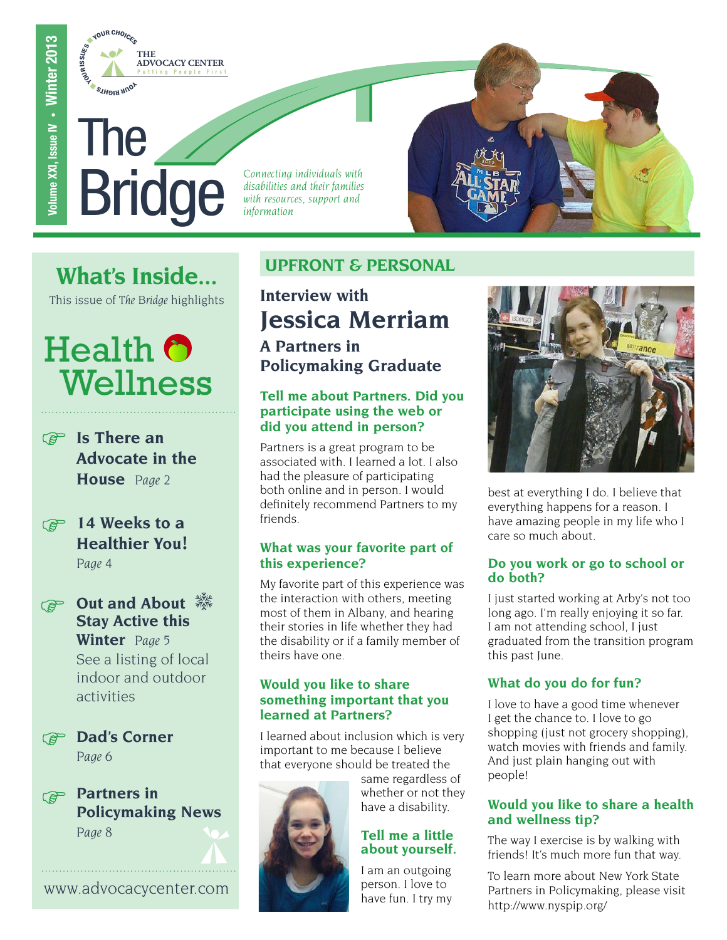**THE ADVOCACY CENTER** YOUR CHOICE

# The Bridge

SIHDIH AUOL

*Connecting individuals with disabilities and their families with resources, support and information*

### **What's Inside...**

This issue of *The Bridge* highlights

## Health<sup>O</sup> Wellness

**Is There an Advocate in the House** *Page 2*

#### **14 Weeks to a Healthier You!** *Page 4*

**P** Out and About ※ **Stay Active this Winter** *Page 5* See a listing of local indoor and outdoor activities

**Dad's Corner** *Page 6*

**Partners in Policymaking News** *Page 8*

www.advocacycenter.com

#### **UPFRONT & PERSONAL**

**Interview with Jessica Merriam**

**A Partners in Policymaking Graduate**

#### **Tell me about Partners. Did you participate using the web or did you attend in person?**

Partners is a great program to be associated with. I learned a lot. I also had the pleasure of participating both online and in person. I would definitely recommend Partners to my friends.

#### **What was your favorite part of this experience?**

My favorite part of this experience was the interaction with others, meeting most of them in Albany, and hearing their stories in life whether they had the disability or if a family member of theirs have one.

#### **Would you like to share something important that you learned at Partners?**

I learned about inclusion which is very important to me because I believe that everyone should be treated the



same regardless of whether or not they have a disability.

#### **Tell me a little about yourself.**

I am an outgoing person. I love to have fun. I try my



best at everything I do. I believe that everything happens for a reason. I have amazing people in my life who I care so much about.

#### **Do you work or go to school or do both?**

I just started working at Arby's not too long ago. I'm really enjoying it so far. I am not attending school, I just graduated from the transition program this past June.

#### **What do you do for fun?**

I love to have a good time whenever I get the chance to. I love to go shopping (just not grocery shopping), watch movies with friends and family. And just plain hanging out with people!

#### **Would you like to share a health and wellness tip?**

The way I exercise is by walking with friends! It's much more fun that way.

To learn more about New York State Partners in Policymaking, please visit <http://www.nyspip.org/>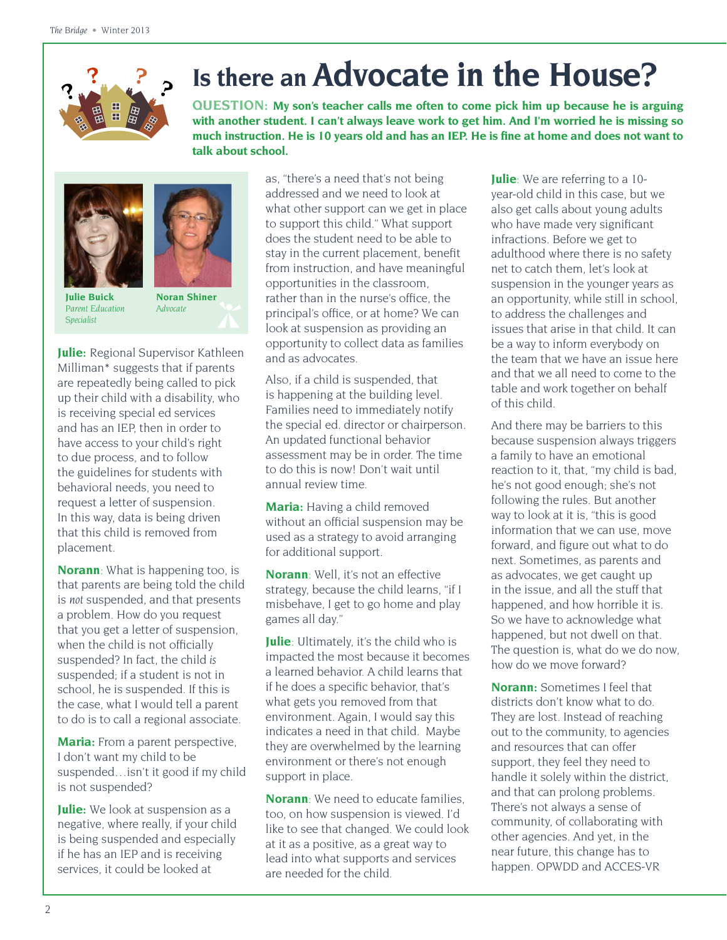## **Is there an Advocate in the House?**

**QUESTION: My son's teacher calls me often to come pick him up because he is arguing with another student. I can't always leave work to get him. And I'm worried he is missing so**  much instruction. He is 10 years old and has an IEP. He is fine at home and does not want to **talk about school.**





**Julie Buick** *Parent Education Specialist*

**Noran Shiner** *Advocate*

**Julie:** Regional Supervisor Kathleen Milliman\* suggests that if parents are repeatedly being called to pick up their child with a disability, who is receiving special ed services and has an IEP, then in order to have access to your child's right to due process, and to follow the guidelines for students with behavioral needs, you need to request a letter of suspension. In this way, data is being driven that this child is removed from placement.

**Norann**: What is happening too, is that parents are being told the child is *not* suspended, and that presents a problem. How do you request that you get a letter of suspension, when the child is not officially suspended? In fact, the child *is* suspended; if a student is not in school, he is suspended. If this is the case, what I would tell a parent to do is to call a regional associate.

**Maria:** From a parent perspective, I don't want my child to be suspended…isn't it good if my child is not suspended?

**Julie:** We look at suspension as a negative, where really, if your child is being suspended and especially if he has an IEP and is receiving services, it could be looked at

as, "there's a need that's not being addressed and we need to look at what other support can we get in place to support this child." What support does the student need to be able to stay in the current placement, benefit from instruction, and have meaningful opportunities in the classroom, rather than in the nurse's office, the principal's office, or at home? We can look at suspension as providing an opportunity to collect data as families and as advocates.

Also, if a child is suspended, that is happening at the building level. Families need to immediately notify the special ed. director or chairperson. An updated functional behavior assessment may be in order. The time to do this is now! Don't wait until annual review time.

**Maria:** Having a child removed without an official suspension may be used as a strategy to avoid arranging for additional support.

**Norann**: Well, it's not an effective strategy, because the child learns, "if I misbehave, I get to go home and play games all day."

**Julie**: Ultimately, it's the child who is impacted the most because it becomes a learned behavior. A child learns that if he does a specific behavior, that's what gets you removed from that environment. Again, I would say this indicates a need in that child. Maybe they are overwhelmed by the learning environment or there's not enough support in place.

**Norann**: We need to educate families, too, on how suspension is viewed. I'd like to see that changed. We could look at it as a positive, as a great way to lead into what supports and services are needed for the child.

**Julie**: We are referring to a 10year-old child in this case, but we also get calls about young adults who have made very significant infractions. Before we get to adulthood where there is no safety net to catch them, let's look at suspension in the younger years as an opportunity, while still in school, to address the challenges and issues that arise in that child. It can be a way to inform everybody on the team that we have an issue here and that we all need to come to the table and work together on behalf of this child.

And there may be barriers to this because suspension always triggers a family to have an emotional reaction to it, that, "my child is bad, he's not good enough; she's not following the rules. But another way to look at it is, "this is good information that we can use, move forward, and figure out what to do next. Sometimes, as parents and as advocates, we get caught up in the issue, and all the stuff that happened, and how horrible it is. So we have to acknowledge what happened, but not dwell on that. The question is, what do we do now, how do we move forward?

**Norann:** Sometimes I feel that districts don't know what to do. They are lost. Instead of reaching out to the community, to agencies and resources that can offer support, they feel they need to handle it solely within the district, and that can prolong problems. There's not always a sense of community, of collaborating with other agencies. And yet, in the near future, this change has to happen. OPWDD and ACCES-VR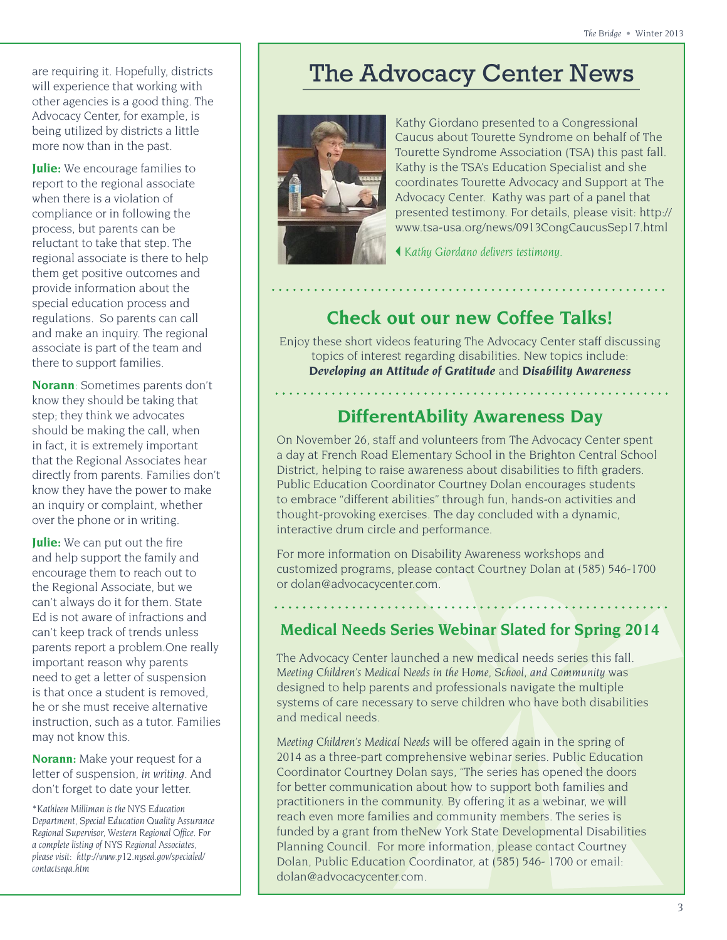are requiring it. Hopefully, districts will experience that working with other agencies is a good thing. The Advocacy Center, for example, is being utilized by districts a little more now than in the past.

**Julie:** We encourage families to report to the regional associate when there is a violation of compliance or in following the process, but parents can be reluctant to take that step. The regional associate is there to help them get positive outcomes and provide information about the special education process and regulations. So parents can call and make an inquiry. The regional associate is part of the team and there to support families.

**Norann**: Sometimes parents don't know they should be taking that step; they think we advocates should be making the call, when in fact, it is extremely important that the Regional Associates hear directly from parents. Families don't know they have the power to make an inquiry or complaint, whether over the phone or in writing.

**Julie:** We can put out the fire and help support the family and encourage them to reach out to the Regional Associate, but we can't always do it for them. State Ed is not aware of infractions and can't keep track of trends unless parents report a problem.One really important reason why parents need to get a letter of suspension is that once a student is removed, he or she must receive alternative instruction, such as a tutor. Families may not know this.

**Norann:** Make your request for a letter of suspension, *in writing.* And don't forget to date your letter.

*\*Kathleen Milliman is the NYS Education Department, Special Education Quality Assurance*  **Regional Supervisor, Western Regional Office. For** *a complete listing of NYS Regional Associates, please visit: [http://www.p12.nysed.gov/specialed/](http://www.p12.nysed.gov/specialed/contactseqa.htm) [contactseqa.htm](http://www.p12.nysed.gov/specialed/contactseqa.htm)*

### The Advocacy Center News



Kathy Giordano presented to a Congressional Caucus about Tourette Syndrome on behalf of The Tourette Syndrome Association (TSA) this past fall. Kathy is the TSA's Education Specialist and she coordinates Tourette Advocacy and Support at The Advocacy Center. Kathy was part of a panel that presented testimony. For details, please visit: [http://](http://www.tsa-usa.org/news/0913CongCaucusSep17.html) [www.tsa-usa.org/news/0913CongCaucusSep17.html](http://www.tsa-usa.org/news/0913CongCaucusSep17.html)

*Kathy Giordano delivers testimony.*

#### **Check out our new Coffee Talks!**

Enjoy these short videos featuring The Advocacy Center staff discussing topics of interest regarding disabilities. New topics include: *[Developing an Attitude of Gratitude](http://www.youtube.com/watch?v=gM0HvGLgYLw&feature=c4-overview&list=UUbpAQlAn6TCLC37ZlVFYFgw)* and *[Disability Awareness](http://www.advocacycenter.com/news/2013/12/20/new-coffee-talk-features-disability-awareness)*

#### **DifferentAbility Awareness Day**

On November 26, staff and volunteers from The Advocacy Center spent a day at French Road Elementary School in the Brighton Central School District, helping to raise awareness about disabilities to fifth graders. Public Education Coordinator Courtney Dolan encourages students to embrace "different abilities" through fun, hands-on activities and thought-provoking exercises. The day concluded with a dynamic, interactive drum circle and performance.

For more information on Disability Awareness workshops and customized programs, please contact Courtney Dolan at (585) 546-1700 or dolan@advocacycenter.com.

#### **Medical Needs Series Webinar Slated for Spring 2014**

The Advocacy Center launched a new medical needs series this fall. *Meeting Children's Medical Needs in the Home, School, and Community* was designed to help parents and professionals navigate the multiple systems of care necessary to serve children who have both disabilities and medical needs.

*Meeting Children's Medical Needs* will be offered again in the spring of 2014 as a three-part comprehensive webinar series. Public Education Coordinator Courtney Dolan says, "The series has opened the doors for better communication about how to support both families and practitioners in the community. By offering it as a webinar, we will reach even more families and community members. The series is funded by a grant from theNew York State Developmental Disabilities Planning Council. For more information, please contact Courtney Dolan, Public Education Coordinator, at (585) 546- 1700 or email: dolan@advocacycenter.com.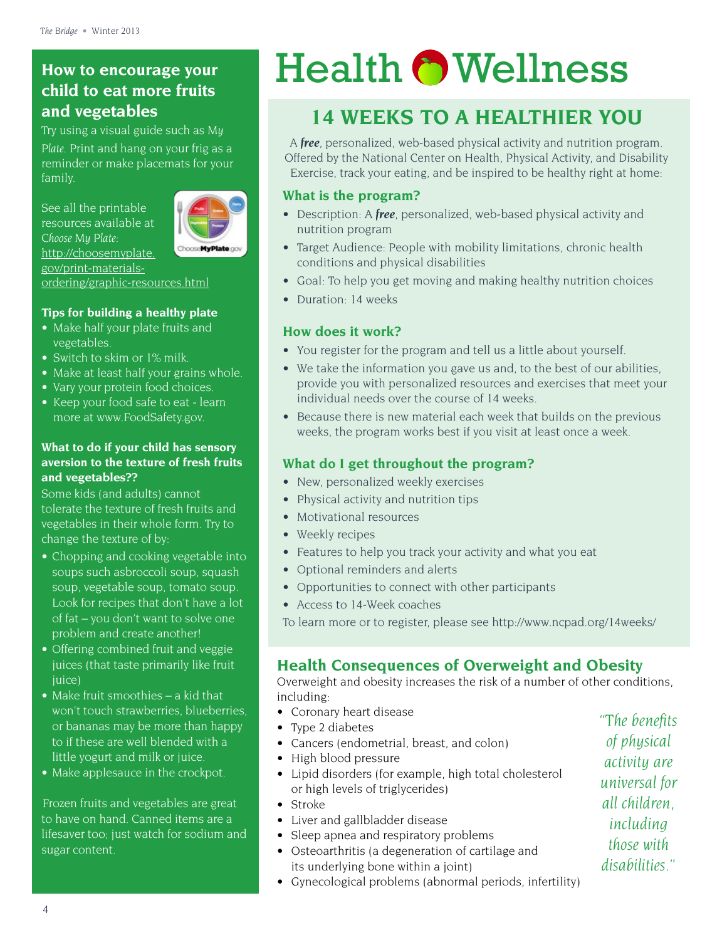#### **How to encourage your child to eat more fruits and vegetables**

Try using a visual guide such as *My Plate*. Print and hang on your frig as a reminder or make placemats for your family.

See all the printable resources available at *Choose My Plate:*  http://choosemyplate. gov/print-materials-



ordering/graphic-resources.html

#### **Tips for building a healthy plate**

- Make half your plate fruits and vegetables.
- Switch to skim or 1% milk.
- Make at least half your grains whole.
- Vary your protein food choices.
- Keep your food safe to eat learn more at www.FoodSafety.gov.

#### **What to do if your child has sensory aversion to the texture of fresh fruits and vegetables??**

Some kids (and adults) cannot tolerate the texture of fresh fruits and vegetables in their whole form. Try to change the texture of by:

- Chopping and cooking vegetable into soups such asbroccoli soup, squash soup, vegetable soup, tomato soup. Look for recipes that don't have a lot of fat – you don't want to solve one problem and create another!
- Offering combined fruit and veggie juices (that taste primarily like fruit juice)
- Make fruit smoothies a kid that won't touch strawberries, blueberries, or bananas may be more than happy to if these are well blended with a little yogurt and milk or juice.
- Make applesauce in the crockpot.

Frozen fruits and vegetables are great to have on hand. Canned items are a lifesaver too; just watch for sodium and sugar content.

## Health **O** Wellness

### **14 WEEKS TO A HEALTHIER YOU**

A *free*, personalized, web-based physical activity and nutrition program. Offered by the National Center on Health, Physical Activity, and Disability Exercise, track your eating, and be inspired to be healthy right at home:

#### **What is the program?**

- Description: A *free*, personalized, web-based physical activity and nutrition program
- Target Audience: People with mobility limitations, chronic health conditions and physical disabilities
- Goal: To help you get moving and making healthy nutrition choices
- Duration: 14 weeks

#### **How does it work?**

- You register for the program and tell us a little about yourself.
- We take the information you gave us and, to the best of our abilities, provide you with personalized resources and exercises that meet your individual needs over the course of 14 weeks.
- Because there is new material each week that builds on the previous weeks, the program works best if you visit at least once a week.

#### **What do I get throughout the program?**

- New, personalized weekly exercises
- Physical activity and nutrition tips
- Motivational resources
- Weekly recipes
- Features to help you track your activity and what you eat
- Optional reminders and alerts
- Opportunities to connect with other participants
- Access to 14-Week coaches

To learn more or to register, please see <http://www.ncpad.org/14weeks/>

#### **Health Consequences of Overweight and Obesity**

Overweight and obesity increases the risk of a number of other conditions, including:

- Coronary heart disease
- Type 2 diabetes
- Cancers (endometrial, breast, and colon)
- High blood pressure
- Lipid disorders (for example, high total cholesterol or high levels of triglycerides)
- Stroke
- Liver and gallbladder disease
- Sleep apnea and respiratory problems
- Osteoarthritis (a degeneration of cartilage and its underlying bone within a joint)
- Gynecological problems (abnormal periods, infertility)

*of physical activity are universal for all children, including those with disabilities."*

*"The bene�ts*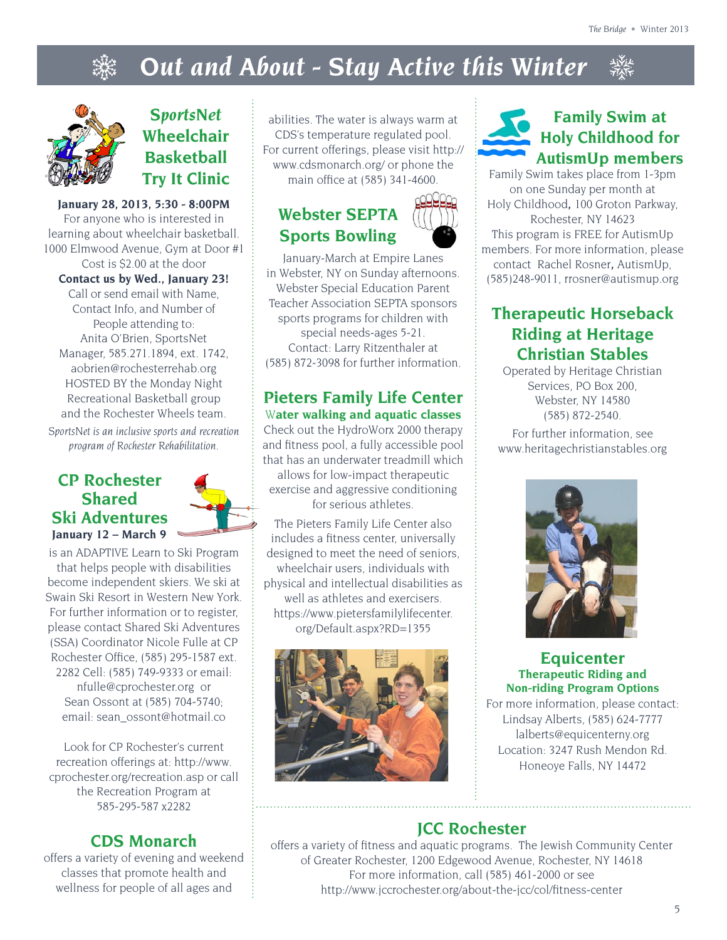## **Out and About - Stay Active this Winter**



#### *SportsNet*  **Wheelchair Basketball Try It Clinic**

#### **January 28, 2013, 5:30 - 8:00PM**

For anyone who is interested in learning about wheelchair basketball. 1000 Elmwood Avenue, Gym at Door #1 Cost is \$2.00 at the door

#### **Contact us by Wed., January 23!**

Call or send email with Name, Contact Info, and Number of People attending to: Anita O'Brien, SportsNet Manager, 585.271.1894, ext. 1742, [aobrien@rochesterrehab.org](http://www.advocacycenter.com/news/2013/12/20/new-coffee-talk-features-disability-awareness) HOSTED BY the Monday Night Recreational Basketball group and the Rochester Wheels team.

*SportsNet is an inclusive sports and recreation program of Rochester Rehabilitation.*

#### **CP Rochester Shared Ski Adventures January 12 – March 9**



is an ADAPTIVE Learn to Ski Program that helps people with disabilities become independent skiers. We ski at Swain Ski Resort in Western New York. For further information or to register, please contact Shared Ski Adventures (SSA) Coordinator Nicole Fulle at CP Rochester Office, (585) 295-1587 ext. 2282 Cell: (585) 749-9333 or email: [nfulle@cprochester.org](mailto:nfulle@cprochester.org) or Sean Ossont at (585) 704-5740; email: [sean\\_ossont@hotmail.co](mailto:sean_ossont@hotmail.co)

Look for CP Rochester's current recreation offerings at: [http://www.](http://www.cprochester.org/recreation.asp) [cprochester.org/recreation.asp](http://www.cprochester.org/recreation.asp) or call the Recreation Program at 585-295-587 x2282

#### **CDS Monarch**

offers a variety of evening and weekend classes that promote health and wellness for people of all ages and

abilities. The water is always warm at CDS's temperature regulated pool. For current offerings, please visit [http://](http://www.cdsmonarch.org/) [www.cdsmonarch.org/](http://www.cdsmonarch.org/) or phone the main office at (585) 341-4600.

#### **Webster SEPTA Sports Bowling**



January-March at Empire Lanes in Webster, NY on Sunday afternoons. Webster Special Education Parent Teacher Association SEPTA sponsors sports programs for children with special needs-ages 5-21. Contact: Larry Ritzenthaler at (585) 872-3098 for further information.

#### **Pieters Family Life Center** W**ater walking and aquatic classes**

Check out the HydroWorx 2000 therapy and fitness pool, a fully accessible pool that has an underwater treadmill which allows for low-impact therapeutic exercise and aggressive conditioning for serious athletes.

The Pieters Family Life Center also includes a fitness center, universally designed to meet the need of seniors, wheelchair users, individuals with physical and intellectual disabilities as well as athletes and exercisers. [https://www.pietersfamilylifecenter.](https://www.pietersfamilylifecenter.org/Default.aspx?RD=1355) [org/Default.aspx?RD=1355](https://www.pietersfamilylifecenter.org/Default.aspx?RD=1355)





Family Swim takes place from 1-3pm on one Sunday per month at Holy Childhood**,** 100 Groton Parkway, Rochester, NY 14623 This program is FREE for AutismUp members. For more information, please contact Rachel Rosner**,** AutismUp, (585)248-9011, [rrosner@autismup.org](mailto:rrosner@autismup.org)

#### **Therapeutic Horseback Riding at Heritage Christian Stables**

Operated by Heritage Christian Services, PO Box 200, Webster, NY 14580 (585) 872-2540.

For further information, see [www.heritagechristianstables.org](http://www.heritagechristianstables.org)



**Equicenter Therapeutic Riding and Non-riding Program Options**

For more information, please contact: Lindsay Alberts, (585) 624-7777 <lalberts@equicenterny.org> Location: 3247 Rush Mendon Rd. Honeoye Falls, NY 14472

#### **JCC Rochester**

offers a variety of fitness and aquatic programs. The Jewish Community Center of Greater Rochester, 1200 Edgewood Avenue, Rochester, NY 14618 For more information, call (585) 461-2000 or see [http://www.jccrochester.org/about-the-jcc/col/�tness-center](http://www.jccrochester.org/about-the-jcc/col/fitness-center)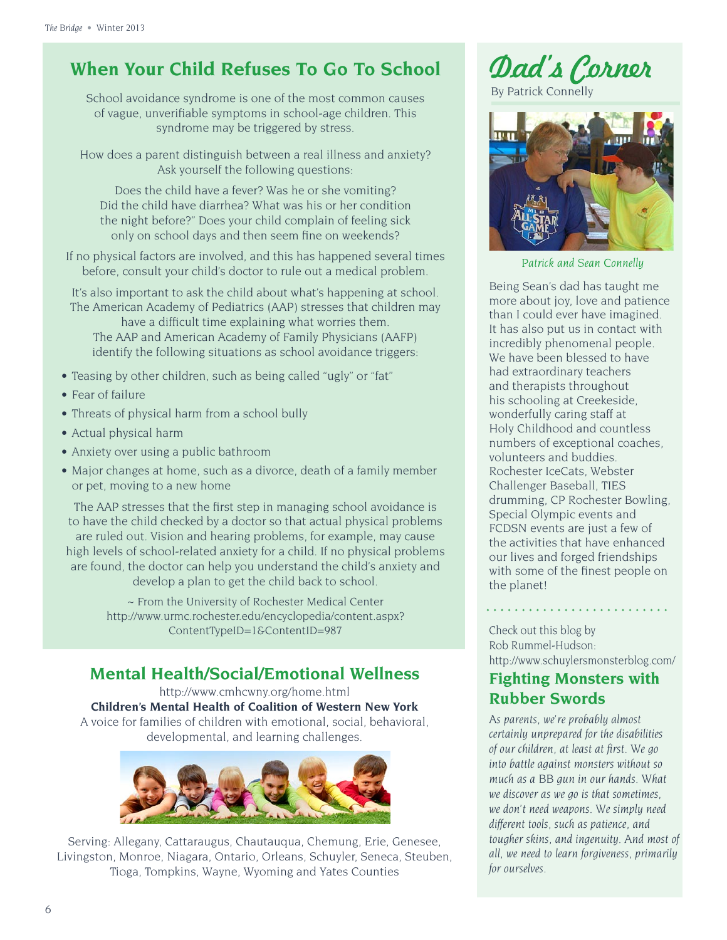#### **When Your Child Refuses To Go To School**

School avoidance syndrome is one of the most common causes of vague, unveri�able symptoms in school-age children. This syndrome may be triggered by stress.

How does a parent distinguish between a real illness and anxiety? Ask yourself the following questions:

Does the child have a fever? Was he or she vomiting? Did the child have diarrhea? What was his or her condition the night before?" Does your child complain of feeling sick only on school days and then seem fine on weekends?

If no physical factors are involved, and this has happened several times before, consult your child's doctor to rule out a medical problem.

It's also important to ask the child about what's happening at school. The American Academy of Pediatrics (AAP) stresses that children may

have a difficult time explaining what worries them. The AAP and American Academy of Family Physicians (AAFP) identify the following situations as school avoidance triggers:

- Teasing by other children, such as being called "ugly" or "fat"
- Fear of failure
- Threats of physical harm from a school bully
- Actual physical harm
- Anxiety over using a public bathroom
- Major changes at home, such as a divorce, death of a family member or pet, moving to a new home

The AAP stresses that the first step in managing school avoidance is to have the child checked by a doctor so that actual physical problems are ruled out. Vision and hearing problems, for example, may cause high levels of school-related anxiety for a child. If no physical problems are found, the doctor can help you understand the child's anxiety and develop a plan to get the child back to school.

> ~ From the University of Rochester Medical Center [http://www.urmc.rochester.edu/encyclopedia/content.aspx?](http://www.urmc.rochester.edu/encyclopedia/content.aspx?ContentTypeID=1&ContentID=987) [ContentTypeID=1&ContentID=987](http://www.urmc.rochester.edu/encyclopedia/content.aspx?ContentTypeID=1&ContentID=987)

#### **Mental Health/Social/Emotional Wellness**

<http://www.cmhcwny.org/home.html> **Children's Mental Health of Coalition of Western New York** A voice for families of children with emotional, social, behavioral, developmental, and learning challenges.



Serving: Allegany, Cattaraugus, Chautauqua, Chemung, Erie, Genesee, Livingston, Monroe, Niagara, Ontario, Orleans, Schuyler, Seneca, Steuben, Tioga, Tompkins, Wayne, Wyoming and Yates Counties

## Dad's Corner

By Patrick Connelly



Patrick and Sean Connellu

Being Sean's dad has taught me more about joy, love and patience than I could ever have imagined. It has also put us in contact with incredibly phenomenal people. We have been blessed to have had extraordinary teachers and therapists throughout his schooling at Creekeside, wonderfully caring staff at Holy Childhood and countless numbers of exceptional coaches, volunteers and buddies. Rochester IceCats, Webster Challenger Baseball, TIES drumming, CP Rochester Bowling, Special Olympic events and FCDSN events are just a few of the activities that have enhanced our lives and forged friendships with some of the finest people on the planet!

Check out this blog by Rob Rummel-Hudson: <http://www.schuylersmonsterblog.com/>

#### **Fighting Monsters with Rubber Swords**

*As parents, we're probably almost certainly unprepared for the disabilities of our children, at least at �rst. We go into battle against monsters without so much as a BB gun in our hands. What we discover as we go is that sometimes, we don't need weapons. We simply need different tools, such as patience, and tougher skins, and ingenuity. And most of all, we need to learn forgiveness, primarily for ourselves.*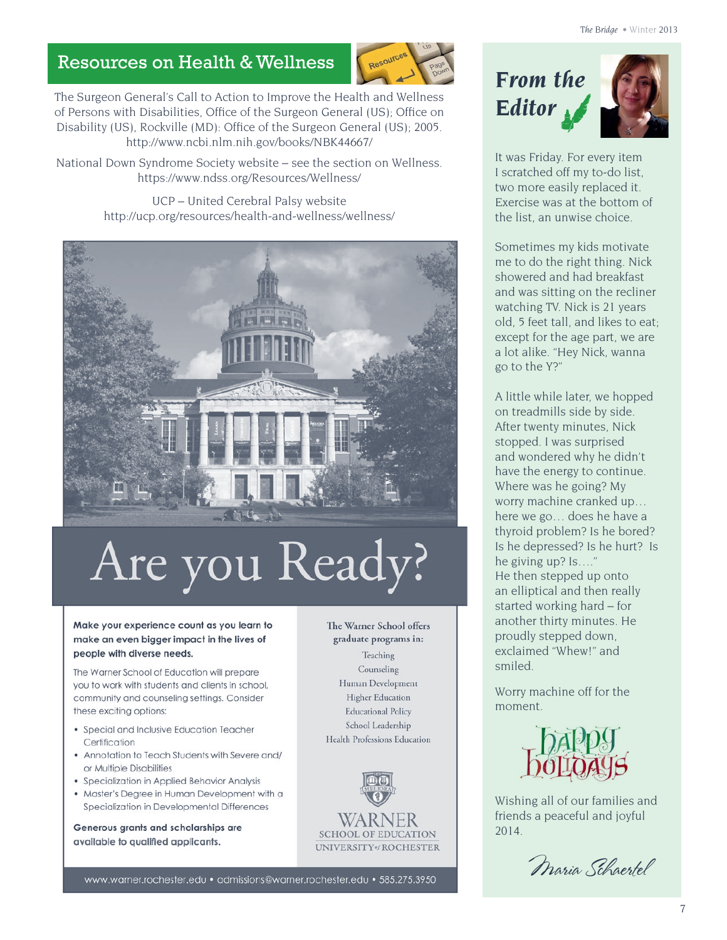#### Resources on Health & Wellness



The Surgeon General's Call to Action to Improve the Health and Wellness of Persons with Disabilities, Office of the Surgeon General (US); Office on Disability (US), Rockville (MD): Office of the Surgeon General (US): 2005. <http://www.ncbi.nlm.nih.gov/books/NBK44667/>

National Down Syndrome Society website – see the section on Wellness. <https://www.ndss.org/Resources/Wellness/>

> UCP – United Cerebral Palsy website <http://ucp.org/resources/health-and-wellness/wellness/>



# Are you Ready?

Make your experience count as you learn to make an even bigger impact in the lives of people with diverse needs.

The Warner School of Education will prepare you to work with students and clients in school, community and counseling settings. Consider these exciting options:

- Special and Inclusive Education Teacher Certification
- Annotation to Teach Students with Severe and/ or Multiple Disabilities
- Specialization in Applied Behavior Analysis
- Master's Degree in Human Development with a Specialization in Developmental Differences

Generous grants and scholarships are available to qualified applicants.

The Warner School offers graduate programs in: Teaching Counseling Human Development **Higher Education Educational Policy** School Leadership Health Professions Education



www.warner.rochester.edu · admissions@warner.rochester.edu · 585.275.3950



It was Friday. For every item I scratched off my to-do list, two more easily replaced it. Exercise was at the bottom of the list, an unwise choice.

Sometimes my kids motivate me to do the right thing. Nick showered and had breakfast and was sitting on the recliner watching TV. Nick is 21 years old, 5 feet tall, and likes to eat; except for the age part, we are a lot alike. "Hey Nick, wanna go to the Y?"

A little while later, we hopped on treadmills side by side. After twenty minutes, Nick stopped. I was surprised and wondered why he didn't have the energy to continue. Where was he going? My worry machine cranked up… here we go… does he have a thyroid problem? Is he bored? Is he depressed? Is he hurt? Is he giving up? Is…." He then stepped up onto an elliptical and then really started working hard – for another thirty minutes. He proudly stepped down, exclaimed "Whew!" and smiled.

Worry machine off for the moment.



Wishing all of our families and friends a peaceful and joyful 2014.

Maria Schaertel